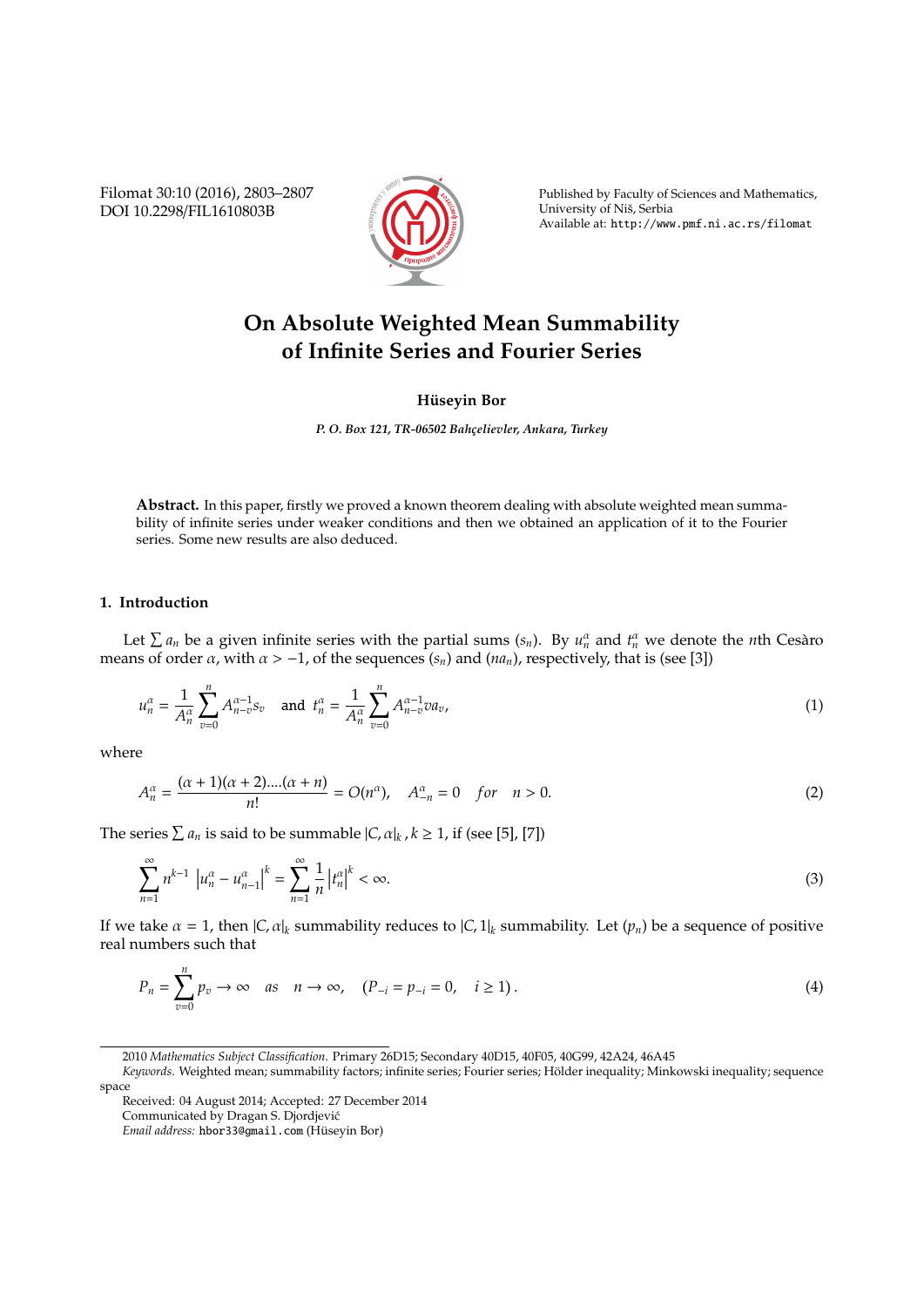Filomat 30:10 (2016), 2803–2807 DOI 10.2298/FIL1610803B



Published by Faculty of Sciences and Mathematics, University of Nis, Serbia ˇ Available at: http://www.pmf.ni.ac.rs/filomat

# **On Absolute Weighted Mean Summability of Infinite Series and Fourier Series**

## **Hüseyin Bor**

*P. O. Box 121, TR-06502 Bahc¸elievler, Ankara, Turkey*

**Abstract.** In this paper, firstly we proved a known theorem dealing with absolute weighted mean summability of infinite series under weaker conditions and then we obtained an application of it to the Fourier series. Some new results are also deduced.

## **1. Introduction**

Let  $\sum a_n$  be a given infinite series with the partial sums  $(s_n)$ . By  $u_n^{\alpha}$  and  $t_n^{\alpha}$  we denote the *n*th Cesaro means of order  $\alpha$ , with  $\alpha > -1$ , of the sequences  $(s_n)$  and  $(na_n)$ , respectively, that is (see [3])

$$
u_n^{\alpha} = \frac{1}{A_n^{\alpha}} \sum_{v=0}^n A_{n-v}^{\alpha-1} s_v \text{ and } t_n^{\alpha} = \frac{1}{A_n^{\alpha}} \sum_{v=0}^n A_{n-v}^{\alpha-1} v a_v,
$$
 (1)

where

$$
A_n^{\alpha} = \frac{(\alpha + 1)(\alpha + 2)....(\alpha + n)}{n!} = O(n^{\alpha}), \quad A_{-n}^{\alpha} = 0 \quad \text{for} \quad n > 0. \tag{2}
$$

The series  $\sum a_n$  is said to be summable  $|C, \alpha|_k$ ,  $k \ge 1$ , if (see [5], [7])

$$
\sum_{n=1}^{\infty} n^{k-1} \left| u_n^{\alpha} - u_{n-1}^{\alpha} \right|^k = \sum_{n=1}^{\infty} \frac{1}{n} \left| t_n^{\alpha} \right|^k < \infty. \tag{3}
$$

If we take  $\alpha = 1$ , then  $|C_i \alpha|_k$  summability reduces to  $|C_i \alpha|_k$  summability. Let  $(p_n)$  be a sequence of positive real numbers such that

$$
P_n = \sum_{v=0}^{n} p_v \to \infty \quad \text{as} \quad n \to \infty, \quad (P_{-i} = p_{-i} = 0, \quad i \ge 1).
$$
 (4)

<sup>2010</sup> *Mathematics Subject Classification*. Primary 26D15; Secondary 40D15, 40F05, 40G99, 42A24, 46A45

*Keywords*. Weighted mean; summability factors; infinite series; Fourier series; Holder inequality; Minkowski inequality; sequence ¨ space

Received: 04 August 2014; Accepted: 27 December 2014

Communicated by Dragan S. Djordjevic´

*Email address:* hbor33@gmail.com (Huseyin Bor) ¨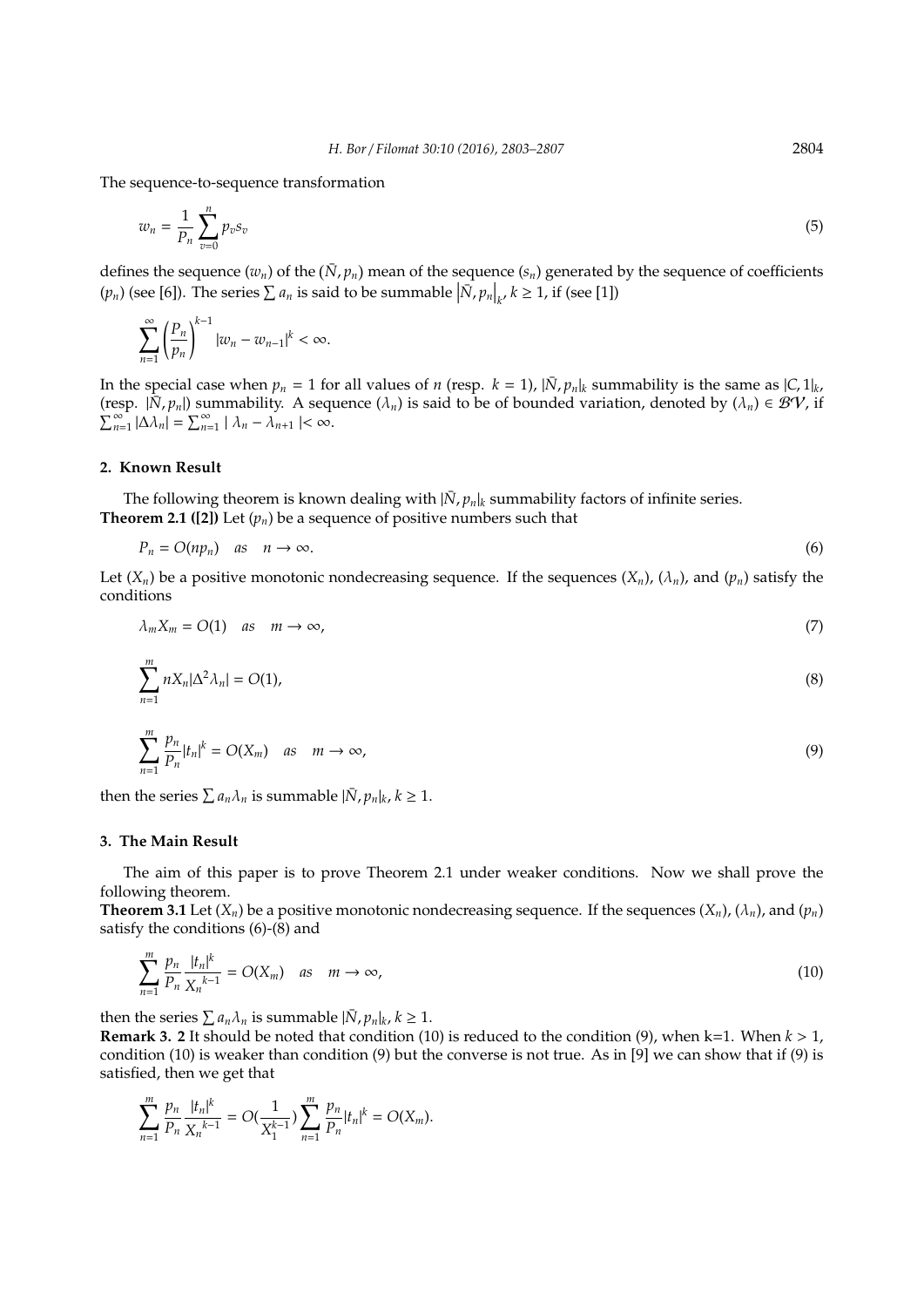The sequence-to-sequence transformation

$$
w_n = \frac{1}{P_n} \sum_{v=0}^n p_v s_v \tag{5}
$$

defines the sequence  $(w_n)$  of the  $(\bar{N}, p_n)$  mean of the sequence  $(s_n)$  generated by the sequence of coefficients  $(p_n)$  (see [6]). The series  $\sum a_n$  is said to be summable  $\left| \bar{N}, p_n \right|_{k}, k \ge 1$ , if (see [1])

$$
\sum_{n=1}^{\infty} \left(\frac{P_n}{p_n}\right)^{k-1} |w_n - w_{n-1}|^k < \infty.
$$

In the special case when  $p_n = 1$  for all values of *n* (resp.  $k = 1$ ),  $|\bar{N}, p_n|_k$  summability is the same as  $|C, 1|_k$ , (resp.  $|\bar{N}, p_n|$ ) summability. A sequence  $(\lambda_n)$  is said to be of bounded variation, denoted by  $(\lambda_n) \in BV$ , if  $\sum_{n=1}^{\infty} |\Delta \lambda_n| = \sum_{n=1}^{\infty} |\lambda_n - \lambda_{n+1}| < \infty$ .

### **2. Known Result**

The following theorem is known dealing with  $|\bar{N}, p_n|_k$  summability factors of infinite series. **Theorem 2.1 ([2])** Let  $(p_n)$  be a sequence of positive numbers such that

$$
P_n = O(n p_n) \quad \text{as} \quad n \to \infty. \tag{6}
$$

Let  $(X_n)$  be a positive monotonic nondecreasing sequence. If the sequences  $(X_n)$ ,  $(\lambda_n)$ , and  $(p_n)$  satisfy the conditions

$$
\lambda_m X_m = O(1) \quad \text{as} \quad m \to \infty,\tag{7}
$$

$$
\sum_{n=1}^{m} n X_n |\Delta^2 \lambda_n| = O(1), \tag{8}
$$

$$
\sum_{n=1}^{m} \frac{p_n}{P_n} |t_n|^k = O(X_m) \quad \text{as} \quad m \to \infty,
$$
\n(9)

then the series  $\sum a_n \lambda_n$  is summable  $|\bar{N}, p_n|_k$ ,  $k \geq 1$ .

#### **3. The Main Result**

The aim of this paper is to prove Theorem 2.1 under weaker conditions. Now we shall prove the following theorem.

**Theorem 3.1** Let  $(X_n)$  be a positive monotonic nondecreasing sequence. If the sequences  $(X_n)$ ,  $(\lambda_n)$ , and  $(p_n)$ satisfy the conditions (6)-(8) and

$$
\sum_{n=1}^{m} \frac{p_n}{p_n} \frac{|t_n|^k}{X_n^{k-1}} = O(X_m) \quad \text{as} \quad m \to \infty,
$$
\n(10)

then the series  $\sum a_n \lambda_n$  is summable  $|\bar{N}, p_n|_k$ ,  $k \geq 1$ .

**Remark 3. 2** It should be noted that condition (10) is reduced to the condition (9), when k=1. When *k* > 1, condition (10) is weaker than condition (9) but the converse is not true. As in [9] we can show that if (9) is satisfied, then we get that

$$
\sum_{n=1}^m \frac{p_n}{P_n} \frac{|t_n|^k}{X_n^{k-1}} = O(\frac{1}{X_1^{k-1}}) \sum_{n=1}^m \frac{p_n}{P_n} |t_n|^k = O(X_m).
$$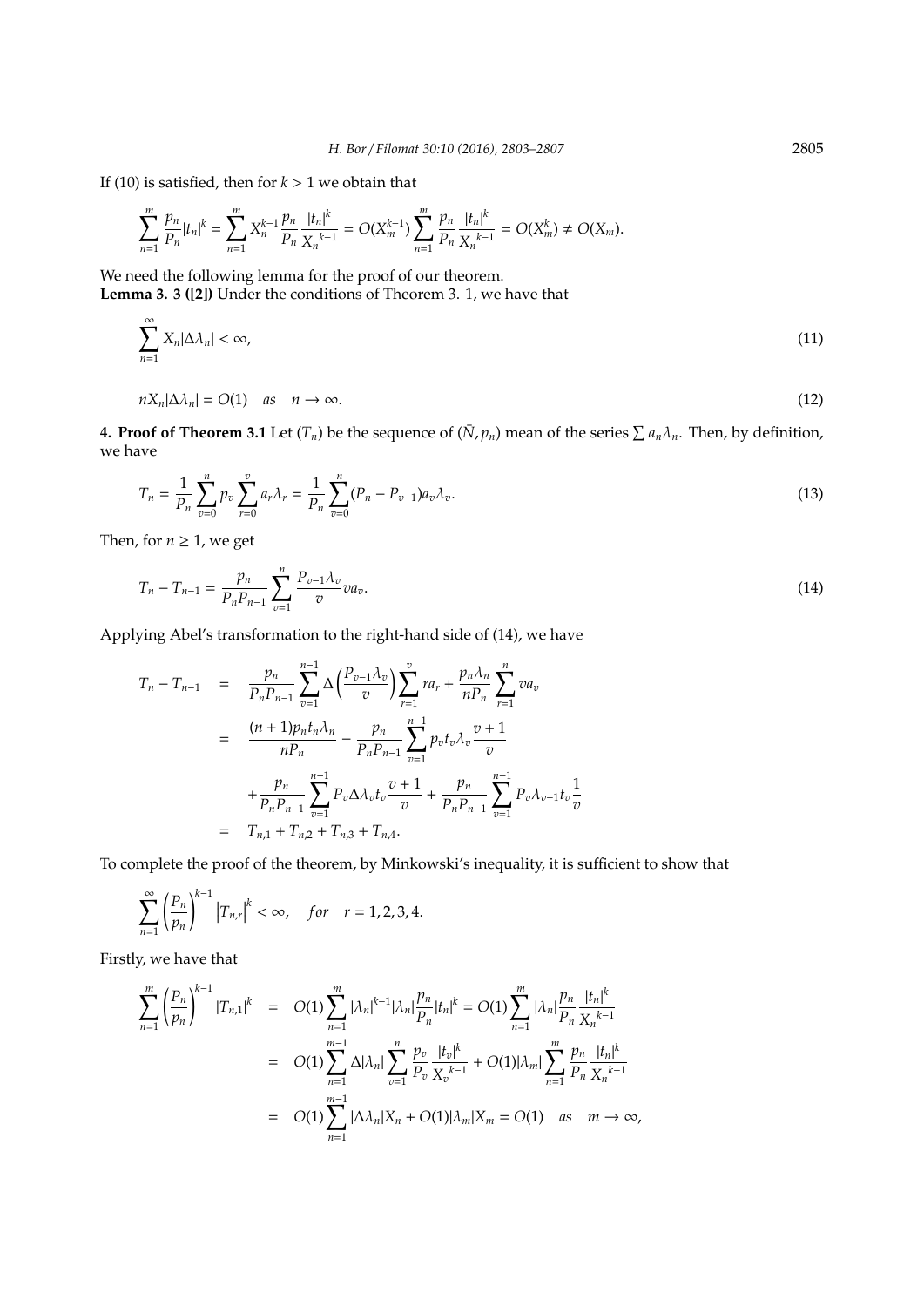If (10) is satisfied, then for  $k > 1$  we obtain that

$$
\sum_{n=1}^m \frac{p_n}{P_n} |t_n|^k = \sum_{n=1}^m X_n^{k-1} \frac{p_n}{P_n} \frac{|t_n|^k}{X_n^{k-1}} = O(X_m^{k-1}) \sum_{n=1}^m \frac{p_n}{P_n} \frac{|t_n|^k}{X_n^{k-1}} = O(X_m^k) \neq O(X_m).
$$

We need the following lemma for the proof of our theorem. **Lemma 3. 3 ([2])** Under the conditions of Theorem 3. 1, we have that

 $\sum_{i=1}^{\infty}$  $X_n|\Delta\lambda_n| < \infty$ , (11)

$$
nX_n|\Delta\lambda_n| = O(1) \quad \text{as} \quad n \to \infty. \tag{12}
$$

**4. Proof of Theorem 3.1** Let  $(T_n)$  be the sequence of  $(\bar{N}, p_n)$  mean of the series  $\sum a_n \lambda_n$ . Then, by definition, we have

$$
T_n = \frac{1}{P_n} \sum_{v=0}^n p_v \sum_{r=0}^v a_r \lambda_r = \frac{1}{P_n} \sum_{v=0}^n (P_n - P_{v-1}) a_v \lambda_v.
$$
\n(13)

Then, for  $n \geq 1$ , we get

*n*=1

$$
T_n - T_{n-1} = \frac{p_n}{P_n P_{n-1}} \sum_{v=1}^n \frac{P_{v-1} \lambda_v}{v} v a_v.
$$
 (14)

Applying Abel's transformation to the right-hand side of (14), we have

$$
T_n - T_{n-1} = \frac{p_n}{P_n P_{n-1}} \sum_{v=1}^{n-1} \Delta \left( \frac{P_{v-1} \lambda_v}{v} \right) \sum_{r=1}^v r a_r + \frac{p_n \lambda_n}{n P_n} \sum_{r=1}^n v a_v
$$
  

$$
= \frac{(n+1)p_n t_n \lambda_n}{n P_n} - \frac{p_n}{P_n P_{n-1}} \sum_{v=1}^{n-1} p_v t_v \lambda_v \frac{v+1}{v}
$$
  

$$
+ \frac{p_n}{P_n P_{n-1}} \sum_{v=1}^{n-1} P_v \Delta \lambda_v t_v \frac{v+1}{v} + \frac{p_n}{P_n P_{n-1}} \sum_{v=1}^{n-1} P_v \lambda_{v+1} t_v \frac{v}{v}
$$
  

$$
= T_{n,1} + T_{n,2} + T_{n,3} + T_{n,4}.
$$

To complete the proof of the theorem, by Minkowski's inequality, it is sufficient to show that

$$
\sum_{n=1}^{\infty} \left(\frac{P_n}{p_n}\right)^{k-1} \left|T_{n,r}\right|^k < \infty, \quad \text{for} \quad r = 1, 2, 3, 4.
$$

Firstly, we have that

$$
\sum_{n=1}^{m} \left(\frac{P_n}{p_n}\right)^{k-1} |T_{n,1}|^k = O(1) \sum_{n=1}^{m} |\lambda_n|^{k-1} |\lambda_n| \frac{p_n}{P_n} |t_n|^k = O(1) \sum_{n=1}^{m} |\lambda_n| \frac{p_n}{P_n} \frac{|t_n|^k}{X_n^{k-1}}
$$
  

$$
= O(1) \sum_{n=1}^{m-1} \Delta |\lambda_n| \sum_{v=1}^{n} \frac{p_v}{P_v} \frac{|t_v|^k}{X_v^{k-1}} + O(1) |\lambda_m| \sum_{n=1}^{m} \frac{p_n}{P_n} \frac{|t_n|^k}{X_n^{k-1}}
$$
  

$$
= O(1) \sum_{n=1}^{m-1} |\Delta \lambda_n| X_n + O(1) |\lambda_m| X_m = O(1) \quad \text{as} \quad m \to \infty,
$$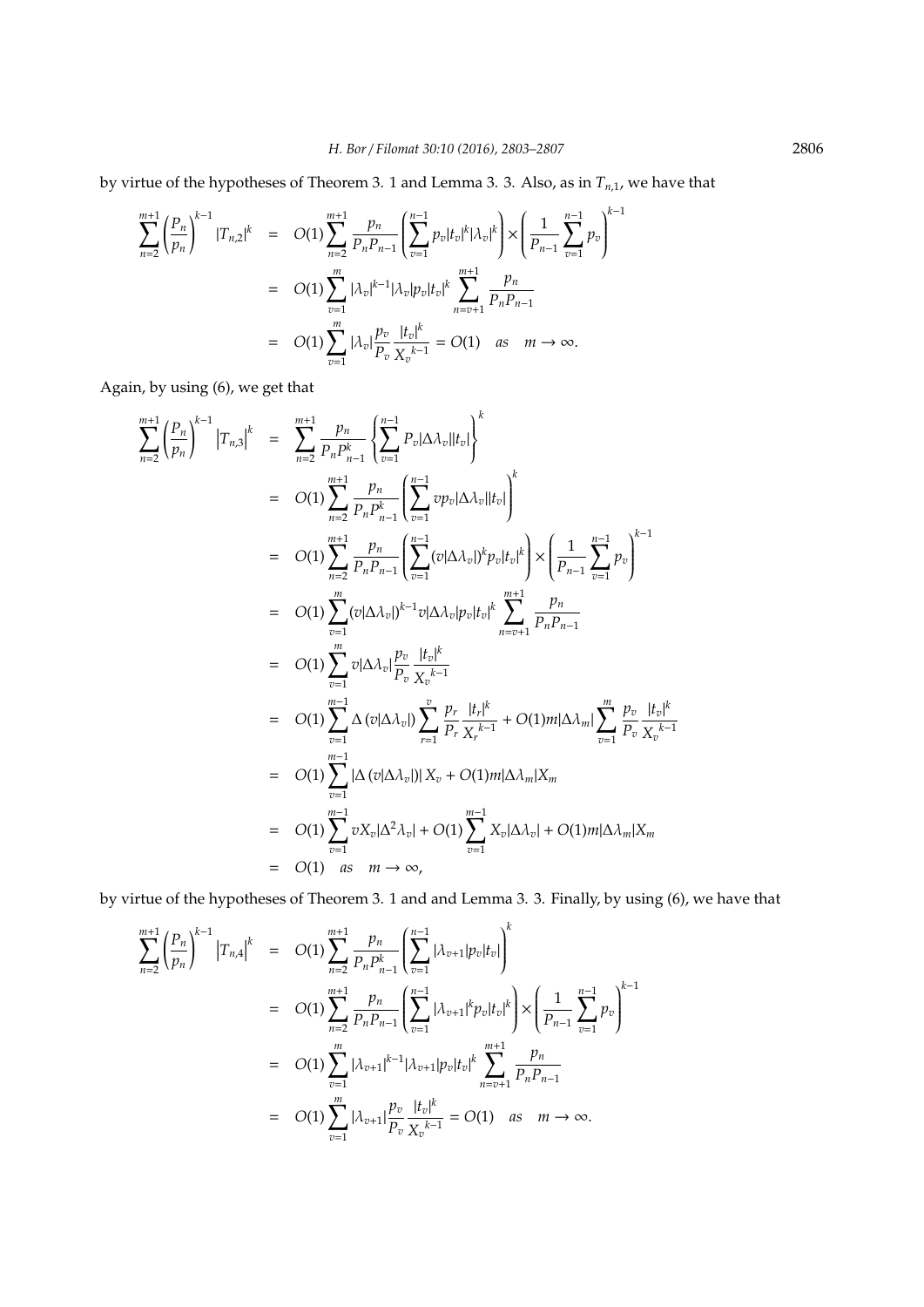by virtue of the hypotheses of Theorem 3. 1 and Lemma 3. 3. Also, as in *Tn*,1, we have that

$$
\sum_{n=2}^{m+1} \left(\frac{P_n}{p_n}\right)^{k-1} |T_{n,2}|^k = O(1) \sum_{n=2}^{m+1} \frac{p_n}{P_n P_{n-1}} \left(\sum_{v=1}^{n-1} p_v |t_v|^k |\lambda_v|^k\right) \times \left(\frac{1}{P_{n-1}} \sum_{v=1}^{n-1} p_v\right)^{k-1}
$$
  
=  $O(1) \sum_{v=1}^m |\lambda_v|^{k-1} |\lambda_v| p_v |t_v|^k \sum_{n=v+1}^{m+1} \frac{p_n}{P_n P_{n-1}}$   
=  $O(1) \sum_{v=1}^m |\lambda_v| \frac{p_v}{P_v} \frac{|t_v|^k}{X_v^{k-1}} = O(1)$  as  $m \to \infty$ .

Again, by using (6), we get that

$$
\sum_{n=2}^{m+1} \left( \frac{P_n}{p_n} \right)^{k-1} |T_{n,3}|^k = \sum_{n=2}^{m+1} \frac{p_n}{P_n P_{n-1}^k} \left\{ \sum_{v=1}^{n-1} P_v |\Delta \lambda_v||t_v| \right\}^k
$$
  
\n
$$
= O(1) \sum_{n=2}^{m+1} \frac{p_n}{P_n P_{n-1}} \left( \sum_{v=1}^{n-1} vp_v |\Delta \lambda_v||t_v| \right)^k
$$
  
\n
$$
= O(1) \sum_{n=2}^{m+1} \frac{p_n}{P_n P_{n-1}} \left( \sum_{v=1}^{n-1} (v |\Delta \lambda_v|)^k p_v |t_v|^k \right) \times \left( \frac{1}{P_{n-1}} \sum_{v=1}^{n-1} p_v \right)^{k-1}
$$
  
\n
$$
= O(1) \sum_{v=1}^{m} (v |\Delta \lambda_v|)^{k-1} v |\Delta \lambda_v| p_v |t_v|^k \sum_{n=v+1}^{m+1} \frac{p_n}{P_n P_{n-1}}
$$
  
\n
$$
= O(1) \sum_{v=1}^{m} v |\Delta \lambda_v| \frac{p_v}{P_v} \frac{|t_v|^k}{X_v^{k-1}}
$$
  
\n
$$
= O(1) \sum_{v=1}^{m-1} \Delta (v |\Delta \lambda_v|) \sum_{r=1}^{v} \frac{p_r}{P_r} \frac{|t_r|^k}{X_r^{k-1}} + O(1) m |\Delta \lambda_m| \sum_{v=1}^{m} \frac{p_v}{P_v} \frac{|t_v|^k}{X_v^{k-1}}
$$
  
\n
$$
= O(1) \sum_{v=1}^{m-1} |\Delta (v |\Delta \lambda_v|) |X_v + O(1) m |\Delta \lambda_m| X_m
$$
  
\n
$$
= O(1) \sum_{v=1}^{m-1} v X_v |\Delta^2 \lambda_v| + O(1) \sum_{v=1}^{m-1} X_v |\Delta \lambda_v| + O(1) m |\Delta \lambda_m| X_m
$$
  
\n
$$
= O(1) \text{ as } m \to \infty,
$$

by virtue of the hypotheses of Theorem 3. 1 and and Lemma 3. 3. Finally, by using (6), we have that

$$
\sum_{n=2}^{m+1} \left(\frac{P_n}{p_n}\right)^{k-1} |T_{n,4}|^k = O(1) \sum_{n=2}^{m+1} \frac{p_n}{P_n P_{n-1}^k} \left(\sum_{v=1}^{n-1} |\lambda_{v+1}| p_v |t_v|\right)^k
$$
  
\n
$$
= O(1) \sum_{n=2}^{m+1} \frac{p_n}{P_n P_{n-1}} \left(\sum_{v=1}^{n-1} |\lambda_{v+1}|^k p_v |t_v|^k\right) \times \left(\frac{1}{P_{n-1}} \sum_{v=1}^{n-1} p_v\right)^{k-1}
$$
  
\n
$$
= O(1) \sum_{v=1}^m |\lambda_{v+1}|^{k-1} |\lambda_{v+1}| p_v |t_v|^k \sum_{n=v+1}^{m+1} \frac{p_n}{P_n P_{n-1}}
$$
  
\n
$$
= O(1) \sum_{v=1}^m |\lambda_{v+1}| \frac{p_v}{P_v} \frac{|t_v|^k}{X_v^{k-1}} = O(1) \text{ as } m \to \infty.
$$